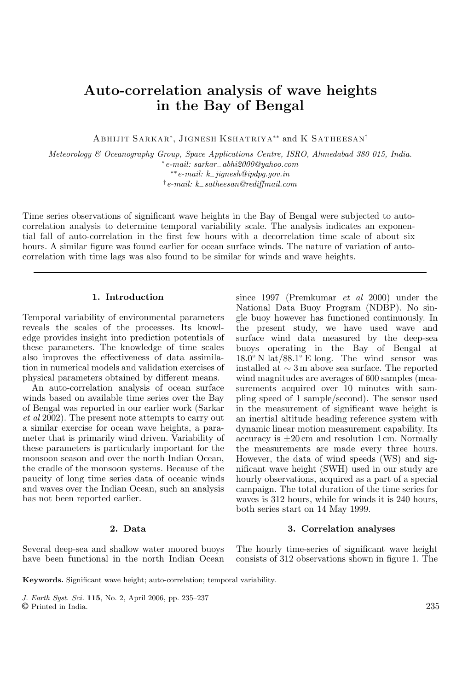# **Auto-correlation analysis of wave heights in the Bay of Bengal**

Abhijit Sarkar<sup>∗</sup>, Jignesh Kshatriya∗∗ and K Satheesan†

*Meteorology & Oceanography Group, Space Applications Centre, ISRO, Ahmedabad 380 015, India.* <sup>∗</sup>*e-mail: sarkar*−*abhi2000@yahoo.com* ∗∗*e-mail: k*−*jignesh@ipdpg.gov.in* †*e-mail: k*−*satheesan@rediffmail.com*

Time series observations of significant wave heights in the Bay of Bengal were subjected to autocorrelation analysis to determine temporal variability scale. The analysis indicates an exponential fall of auto-correlation in the first few hours with a decorrelation time scale of about six hours. A similar figure was found earlier for ocean surface winds. The nature of variation of autocorrelation with time lags was also found to be similar for winds and wave heights.

## **1. Introduction**

Temporal variability of environmental parameters reveals the scales of the processes. Its knowledge provides insight into prediction potentials of these parameters. The knowledge of time scales also improves the effectiveness of data assimilation in numerical models and validation exercises of physical parameters obtained by different means.

An auto-correlation analysis of ocean surface winds based on available time series over the Bay of Bengal was reported in our earlier work (Sarkar *et al* 2002). The present note attempts to carry out a similar exercise for ocean wave heights, a parameter that is primarily wind driven. Variability of these parameters is particularly important for the monsoon season and over the north Indian Ocean, the cradle of the monsoon systems. Because of the paucity of long time series data of oceanic winds and waves over the Indian Ocean, such an analysis has not been reported earlier.

## **2. Data**

Several deep-sea and shallow water moored buoys have been functional in the north Indian Ocean since 1997 (Premkumar *et al* 2000) under the National Data Buoy Program (NDBP). No single buoy however has functioned continuously. In the present study, we have used wave and surface wind data measured by the deep-sea buoys operating in the Bay of Bengal at  $18.0°$  N lat/88.1° E long. The wind sensor was installed at ∼ 3 m above sea surface. The reported wind magnitudes are averages of 600 samples (measurements acquired over 10 minutes with sampling speed of 1 sample/second). The sensor used in the measurement of significant wave height is an inertial altitude heading reference system with dynamic linear motion measurement capability. Its accuracy is  $\pm 20 \text{ cm}$  and resolution 1 cm. Normally the measurements are made every three hours. However, the data of wind speeds (WS) and significant wave height (SWH) used in our study are hourly observations, acquired as a part of a special campaign. The total duration of the time series for waves is 312 hours, while for winds it is 240 hours, both series start on 14 May 1999.

#### **3. Correlation analyses**

The hourly time-series of significant wave height consists of 312 observations shown in figure 1. The

**Keywords.** Significant wave height; auto-correlation; temporal variability.

*J. Earth Syst. Sci.* **115**, No. 2, April 2006, pp. 235–237 © Printed in India. 235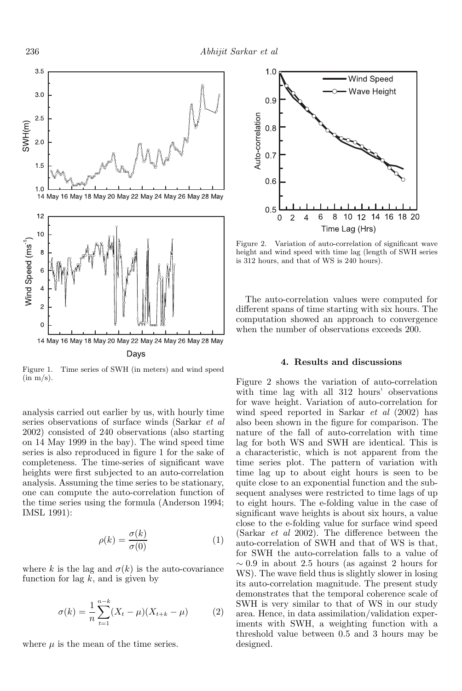

Figure 1. Time series of SWH (in meters) and wind speed  $(in m/s).$ 

analysis carried out earlier by us, with hourly time series observations of surface winds (Sarkar *et al* 2002) consisted of 240 observations (also starting on 14 May 1999 in the bay). The wind speed time series is also reproduced in figure 1 for the sake of completeness. The time-series of significant wave heights were first subjected to an auto-correlation analysis. Assuming the time series to be stationary, one can compute the auto-correlation function of the time series using the formula (Anderson 1994; IMSL 1991):

$$
\rho(k) = \frac{\sigma(k)}{\sigma(0)}\tag{1}
$$

where k is the lag and  $\sigma(k)$  is the auto-covariance function for lag  $k$ , and is given by

$$
\sigma(k) = \frac{1}{n} \sum_{t=1}^{n-k} (X_t - \mu)(X_{t+k} - \mu) \tag{2}
$$

where  $\mu$  is the mean of the time series.



Figure 2. Variation of auto-correlation of significant wave height and wind speed with time lag (length of SWH series is 312 hours, and that of WS is 240 hours).

The auto-correlation values were computed for different spans of time starting with six hours. The computation showed an approach to convergence when the number of observations exceeds 200.

# **4. Results and discussions**

Figure 2 shows the variation of auto-correlation with time lag with all 312 hours' observations for wave height. Variation of auto-correlation for wind speed reported in Sarkar *et al* (2002) has also been shown in the figure for comparison. The nature of the fall of auto-correlation with time lag for both WS and SWH are identical. This is a characteristic, which is not apparent from the time series plot. The pattern of variation with time lag up to about eight hours is seen to be quite close to an exponential function and the subsequent analyses were restricted to time lags of up to eight hours. The e-folding value in the case of significant wave heights is about six hours, a value close to the e-folding value for surface wind speed (Sarkar *et al* 2002). The difference between the auto-correlation of SWH and that of WS is that, for SWH the auto-correlation falls to a value of  $\sim 0.9$  in about 2.5 hours (as against 2 hours for WS). The wave field thus is slightly slower in losing its auto-correlation magnitude. The present study demonstrates that the temporal coherence scale of SWH is very similar to that of WS in our study area. Hence, in data assimilation/validation experiments with SWH, a weighting function with a threshold value between 0.5 and 3 hours may be designed.